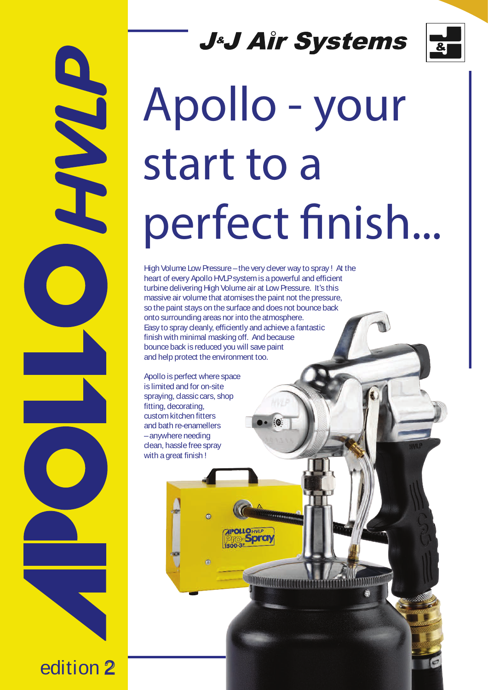# **J&J Air Systems**



# Apollo - your start to a perfect finish...

High Volume Low Pressure – the very dever way to spray ! At the heart of every Apollo HVLPsystem is a powerful and efficient turbine delivering High Volume air at Low Pressure. It's this massive air volume that atomises the paint not the pressure, so the paint stays on the surface and does not bounce back onto surrounding areas nor into the atmosphere. Easy to spray cleanly, efficiently and achieve afantastic finish with minimal masking off. And because bounce back is reduced you will save paint and help protect the environment too.

10

**MMMMMMMMM** 

Apollo is perfect where space is limited and for on-site spraying, classic cars, shop fitting, decorating, custom kitchen fitters and bath re-enamellers –anywhere needing clean, hasslefree spray with a great finish !

 $\sigma$ 

edition 2

**NATION**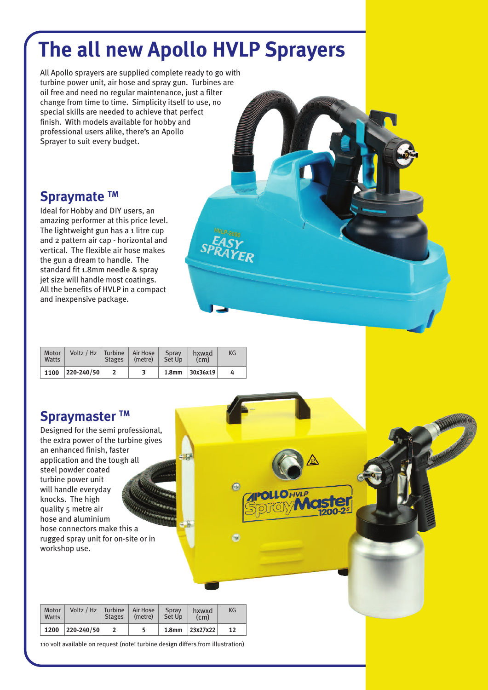# **The all new Apollo HVLP Sprayers**

All Apollo sprayers are supplied complete ready to go with turbine power unit, air hose and spray gun. Turbines are oil free and need no regular maintenance, just a filter change from time to time. Simplicity itself to use, no special skills are needed to achieve that perfect finish. With models available for hobby and professional users alike, there's an Apollo Sprayer to suit every budget.

## **Spraymate TM**

Ideal for Hobby and DIY users, an amazing performer at this price level. The lightweight gun has a 1 litre cup and 2 pattern air cap - horizontal and vertical. The flexible air hose makes the gun a dream to handle. The standard fit 1.8mm needle & spray jet size will handle most coatings. All the benefits of HVLP in a compact and inexpensive package.

| Motor<br>Watts | Voltz / Hz   Turbine   Air Hose | <b>Stages</b> | (metre) | Spray<br>Set Up | hxwxd<br>(cm)      | KG |
|----------------|---------------------------------|---------------|---------|-----------------|--------------------|----|
| 1100           | $ 220 - 240/50 $                |               | 3       |                 | 1.8mm   $30x36x19$ | 4  |

 $\odot$ 

### **Spraymaster ™**

Designed for the semi professional, the extra power of the turbine gives an enhanced finish, faster application and the tough all steel powder coated turbine power unit will handle everyday knocks. The high quality 5 metre air hose and aluminium hose connectors make this a rugged spray unit for on-site or in workshop use.

| Motor<br>Watts | Voltz / Hz   Turbine   Air Hose | <b>Stages</b> | (metre) | Spray<br>Set Up | hxwxd<br>(c <sub>m</sub> ) | КG |
|----------------|---------------------------------|---------------|---------|-----------------|----------------------------|----|
| 1200           | 220-240/50                      |               | 5       |                 | 1.8mm   $23x27x22$         | 12 |

110 volt available on request (note! turbine design differs from illustration)